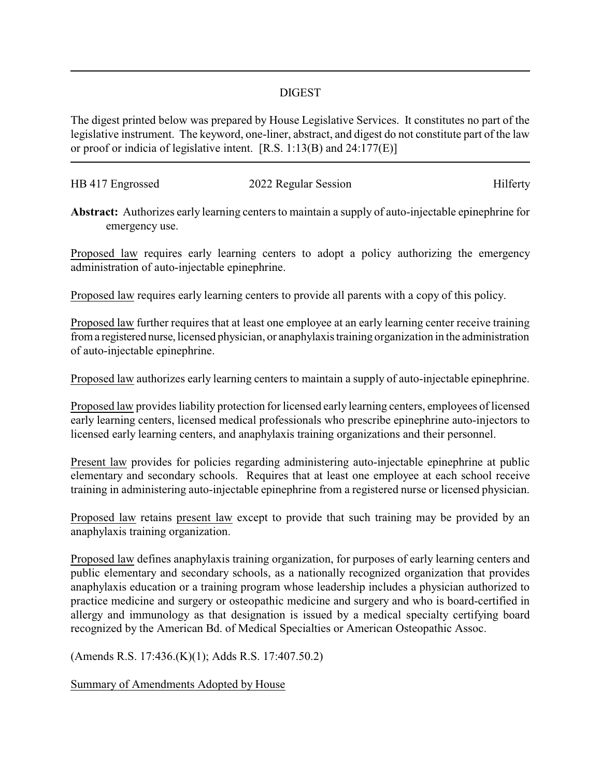## DIGEST

The digest printed below was prepared by House Legislative Services. It constitutes no part of the legislative instrument. The keyword, one-liner, abstract, and digest do not constitute part of the law or proof or indicia of legislative intent. [R.S. 1:13(B) and 24:177(E)]

| HB 417 Engrossed | 2022 Regular Session | Hilferty |
|------------------|----------------------|----------|
|                  |                      |          |

**Abstract:** Authorizes early learning centers to maintain a supply of auto-injectable epinephrine for emergency use.

Proposed law requires early learning centers to adopt a policy authorizing the emergency administration of auto-injectable epinephrine.

Proposed law requires early learning centers to provide all parents with a copy of this policy.

Proposed law further requires that at least one employee at an early learning center receive training froma registered nurse, licensed physician, or anaphylaxis training organization in the administration of auto-injectable epinephrine.

Proposed law authorizes early learning centers to maintain a supply of auto-injectable epinephrine.

Proposed law provides liability protection for licensed early learning centers, employees of licensed early learning centers, licensed medical professionals who prescribe epinephrine auto-injectors to licensed early learning centers, and anaphylaxis training organizations and their personnel.

Present law provides for policies regarding administering auto-injectable epinephrine at public elementary and secondary schools. Requires that at least one employee at each school receive training in administering auto-injectable epinephrine from a registered nurse or licensed physician.

Proposed law retains present law except to provide that such training may be provided by an anaphylaxis training organization.

Proposed law defines anaphylaxis training organization, for purposes of early learning centers and public elementary and secondary schools, as a nationally recognized organization that provides anaphylaxis education or a training program whose leadership includes a physician authorized to practice medicine and surgery or osteopathic medicine and surgery and who is board-certified in allergy and immunology as that designation is issued by a medical specialty certifying board recognized by the American Bd. of Medical Specialties or American Osteopathic Assoc.

(Amends R.S. 17:436.(K)(1); Adds R.S. 17:407.50.2)

Summary of Amendments Adopted by House